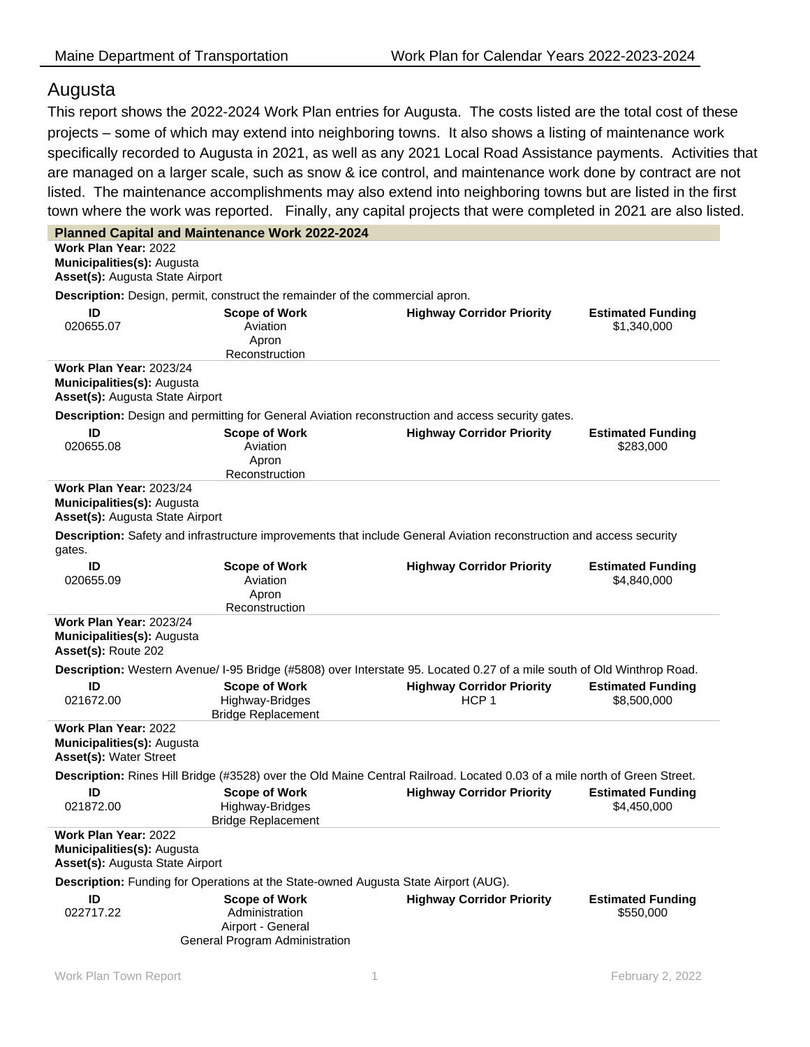## Augusta

This report shows the 2022-2024 Work Plan entries for Augusta. The costs listed are the total cost of these projects – some of which may extend into neighboring towns. It also shows a listing of maintenance work specifically recorded to Augusta in 2021, as well as any 2021 Local Road Assistance payments. Activities that are managed on a larger scale, such as snow & ice control, and maintenance work done by contract are not listed. The maintenance accomplishments may also extend into neighboring towns but are listed in the first town where the work was reported. Finally, any capital projects that were completed in 2021 are also listed.

|                                                                                                                           | <b>Planned Capital and Maintenance Work 2022-2024</b>                                                                   |                                                      |                                         |  |
|---------------------------------------------------------------------------------------------------------------------------|-------------------------------------------------------------------------------------------------------------------------|------------------------------------------------------|-----------------------------------------|--|
| Work Plan Year: 2022<br>Municipalities(s): Augusta<br>Asset(s): Augusta State Airport                                     |                                                                                                                         |                                                      |                                         |  |
|                                                                                                                           | Description: Design, permit, construct the remainder of the commercial apron.                                           |                                                      |                                         |  |
| ID<br>020655.07                                                                                                           | <b>Scope of Work</b><br>Aviation<br>Apron<br>Reconstruction                                                             | <b>Highway Corridor Priority</b>                     | <b>Estimated Funding</b><br>\$1,340,000 |  |
| <b>Work Plan Year: 2023/24</b><br>Municipalities(s): Augusta<br>Asset(s): Augusta State Airport                           |                                                                                                                         |                                                      |                                         |  |
|                                                                                                                           | Description: Design and permitting for General Aviation reconstruction and access security gates.                       |                                                      |                                         |  |
| ID<br>020655.08                                                                                                           | <b>Scope of Work</b><br>Aviation<br>Apron<br>Reconstruction                                                             | <b>Highway Corridor Priority</b>                     | <b>Estimated Funding</b><br>\$283,000   |  |
| Work Plan Year: 2023/24<br>Municipalities(s): Augusta<br>Asset(s): Augusta State Airport                                  |                                                                                                                         |                                                      |                                         |  |
| gates.                                                                                                                    | Description: Safety and infrastructure improvements that include General Aviation reconstruction and access security    |                                                      |                                         |  |
| ID<br>020655.09                                                                                                           | <b>Scope of Work</b><br>Aviation<br>Apron<br>Reconstruction                                                             | <b>Highway Corridor Priority</b>                     | <b>Estimated Funding</b><br>\$4,840,000 |  |
| <b>Work Plan Year: 2023/24</b><br>Municipalities(s): Augusta<br>Asset(s): Route 202                                       |                                                                                                                         |                                                      |                                         |  |
|                                                                                                                           | Description: Western Avenue/ I-95 Bridge (#5808) over Interstate 95. Located 0.27 of a mile south of Old Winthrop Road. |                                                      |                                         |  |
| ID<br>021672.00                                                                                                           | <b>Scope of Work</b><br>Highway-Bridges<br><b>Bridge Replacement</b>                                                    | <b>Highway Corridor Priority</b><br>HCP <sub>1</sub> | <b>Estimated Funding</b><br>\$8,500,000 |  |
| <b>Work Plan Year: 2022</b><br>Municipalities(s): Augusta<br>Asset(s): Water Street                                       |                                                                                                                         |                                                      |                                         |  |
| Description: Rines Hill Bridge (#3528) over the Old Maine Central Railroad. Located 0.03 of a mile north of Green Street. |                                                                                                                         |                                                      |                                         |  |
| ID<br>021872.00                                                                                                           | <b>Scope of Work</b><br>Highway-Bridges<br><b>Bridge Replacement</b>                                                    | <b>Highway Corridor Priority</b>                     | <b>Estimated Funding</b><br>\$4.450.000 |  |
| Work Plan Year: 2022<br>Municipalities(s): Augusta<br>Asset(s): Augusta State Airport                                     |                                                                                                                         |                                                      |                                         |  |
| Description: Funding for Operations at the State-owned Augusta State Airport (AUG).                                       |                                                                                                                         |                                                      |                                         |  |
| ID<br>022717.22                                                                                                           | <b>Scope of Work</b><br>Administration<br>Airport - General<br>General Program Administration                           | <b>Highway Corridor Priority</b>                     | <b>Estimated Funding</b><br>\$550,000   |  |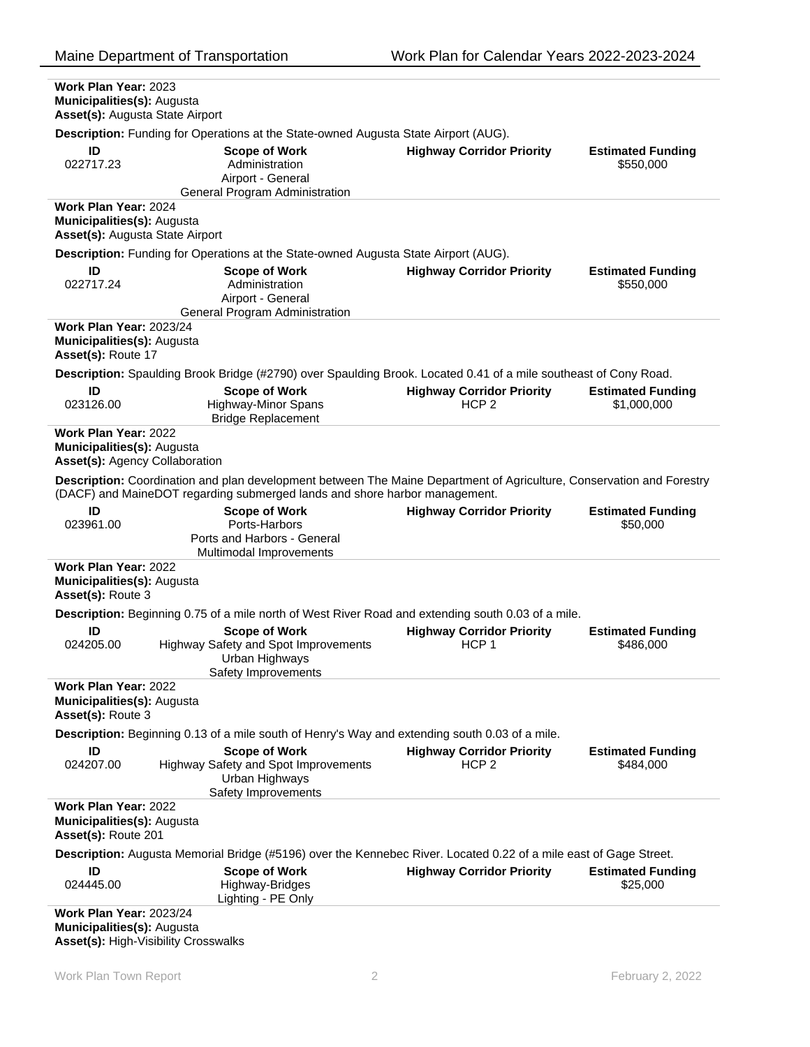| Work Plan Year: 2023<br>Municipalities(s): Augusta<br>Asset(s): Augusta State Airport                             |                                                                                                                                                                                                     |                                                      |                          |
|-------------------------------------------------------------------------------------------------------------------|-----------------------------------------------------------------------------------------------------------------------------------------------------------------------------------------------------|------------------------------------------------------|--------------------------|
|                                                                                                                   | Description: Funding for Operations at the State-owned Augusta State Airport (AUG).                                                                                                                 |                                                      |                          |
| ID                                                                                                                | <b>Scope of Work</b>                                                                                                                                                                                | <b>Highway Corridor Priority</b>                     | <b>Estimated Funding</b> |
| 022717.23                                                                                                         | Administration                                                                                                                                                                                      |                                                      | \$550,000                |
|                                                                                                                   | Airport - General                                                                                                                                                                                   |                                                      |                          |
|                                                                                                                   | General Program Administration                                                                                                                                                                      |                                                      |                          |
| <b>Work Plan Year: 2024</b>                                                                                       |                                                                                                                                                                                                     |                                                      |                          |
| Municipalities(s): Augusta                                                                                        |                                                                                                                                                                                                     |                                                      |                          |
| <b>Asset(s): Augusta State Airport</b>                                                                            |                                                                                                                                                                                                     |                                                      |                          |
|                                                                                                                   | Description: Funding for Operations at the State-owned Augusta State Airport (AUG).                                                                                                                 |                                                      |                          |
| ID                                                                                                                | <b>Scope of Work</b>                                                                                                                                                                                | <b>Highway Corridor Priority</b>                     | <b>Estimated Funding</b> |
| 022717.24                                                                                                         | Administration                                                                                                                                                                                      |                                                      | \$550,000                |
|                                                                                                                   | Airport - General                                                                                                                                                                                   |                                                      |                          |
|                                                                                                                   | General Program Administration                                                                                                                                                                      |                                                      |                          |
| <b>Work Plan Year: 2023/24</b>                                                                                    |                                                                                                                                                                                                     |                                                      |                          |
| Municipalities(s): Augusta                                                                                        |                                                                                                                                                                                                     |                                                      |                          |
| Asset(s): Route 17                                                                                                |                                                                                                                                                                                                     |                                                      |                          |
|                                                                                                                   | Description: Spaulding Brook Bridge (#2790) over Spaulding Brook. Located 0.41 of a mile southeast of Cony Road.                                                                                    |                                                      |                          |
| ID                                                                                                                | <b>Scope of Work</b>                                                                                                                                                                                | <b>Highway Corridor Priority</b>                     | <b>Estimated Funding</b> |
| 023126.00                                                                                                         | <b>Highway-Minor Spans</b>                                                                                                                                                                          | HCP <sub>2</sub>                                     | \$1,000,000              |
|                                                                                                                   | <b>Bridge Replacement</b>                                                                                                                                                                           |                                                      |                          |
| <b>Work Plan Year: 2022</b><br>Municipalities(s): Augusta<br>Asset(s): Agency Collaboration                       |                                                                                                                                                                                                     |                                                      |                          |
|                                                                                                                   |                                                                                                                                                                                                     |                                                      |                          |
|                                                                                                                   | Description: Coordination and plan development between The Maine Department of Agriculture, Conservation and Forestry<br>(DACF) and MaineDOT regarding submerged lands and shore harbor management. |                                                      |                          |
| ID                                                                                                                | <b>Scope of Work</b>                                                                                                                                                                                | <b>Highway Corridor Priority</b>                     | <b>Estimated Funding</b> |
| 023961.00                                                                                                         | Ports-Harbors<br>Ports and Harbors - General                                                                                                                                                        |                                                      | \$50,000                 |
|                                                                                                                   | Multimodal Improvements                                                                                                                                                                             |                                                      |                          |
| Work Plan Year: 2022                                                                                              |                                                                                                                                                                                                     |                                                      |                          |
| Municipalities(s): Augusta                                                                                        |                                                                                                                                                                                                     |                                                      |                          |
| Asset(s): Route 3                                                                                                 |                                                                                                                                                                                                     |                                                      |                          |
|                                                                                                                   | Description: Beginning 0.75 of a mile north of West River Road and extending south 0.03 of a mile.                                                                                                  |                                                      |                          |
|                                                                                                                   |                                                                                                                                                                                                     |                                                      |                          |
| ID<br>024205.00                                                                                                   | <b>Scope of Work</b>                                                                                                                                                                                | <b>Highway Corridor Priority</b><br>HCP <sub>1</sub> | <b>Estimated Funding</b> |
|                                                                                                                   | Highway Safety and Spot Improvements<br>Urban Highways                                                                                                                                              |                                                      | \$486,000                |
|                                                                                                                   | Safety Improvements                                                                                                                                                                                 |                                                      |                          |
| Work Plan Year: 2022                                                                                              |                                                                                                                                                                                                     |                                                      |                          |
| Municipalities(s): Augusta                                                                                        |                                                                                                                                                                                                     |                                                      |                          |
| Asset(s): Route 3                                                                                                 |                                                                                                                                                                                                     |                                                      |                          |
|                                                                                                                   | Description: Beginning 0.13 of a mile south of Henry's Way and extending south 0.03 of a mile.                                                                                                      |                                                      |                          |
|                                                                                                                   |                                                                                                                                                                                                     |                                                      |                          |
| ID                                                                                                                | <b>Scope of Work</b>                                                                                                                                                                                | <b>Highway Corridor Priority</b><br>HCP <sub>2</sub> | <b>Estimated Funding</b> |
| 024207.00                                                                                                         | Highway Safety and Spot Improvements<br>Urban Highways                                                                                                                                              |                                                      | \$484,000                |
|                                                                                                                   | Safety Improvements                                                                                                                                                                                 |                                                      |                          |
| Work Plan Year: 2022                                                                                              |                                                                                                                                                                                                     |                                                      |                          |
| Municipalities(s): Augusta<br>Asset(s): Route 201                                                                 |                                                                                                                                                                                                     |                                                      |                          |
| Description: Augusta Memorial Bridge (#5196) over the Kennebec River. Located 0.22 of a mile east of Gage Street. |                                                                                                                                                                                                     |                                                      |                          |
| ID                                                                                                                | <b>Scope of Work</b>                                                                                                                                                                                | <b>Highway Corridor Priority</b>                     | <b>Estimated Funding</b> |
| 024445.00                                                                                                         | Highway-Bridges                                                                                                                                                                                     |                                                      | \$25,000                 |
|                                                                                                                   | Lighting - PE Only                                                                                                                                                                                  |                                                      |                          |
| <b>Work Plan Year: 2023/24</b><br>Municipalities(s): Augusta                                                      |                                                                                                                                                                                                     |                                                      |                          |

**Asset(s):** High-Visibility Crosswalks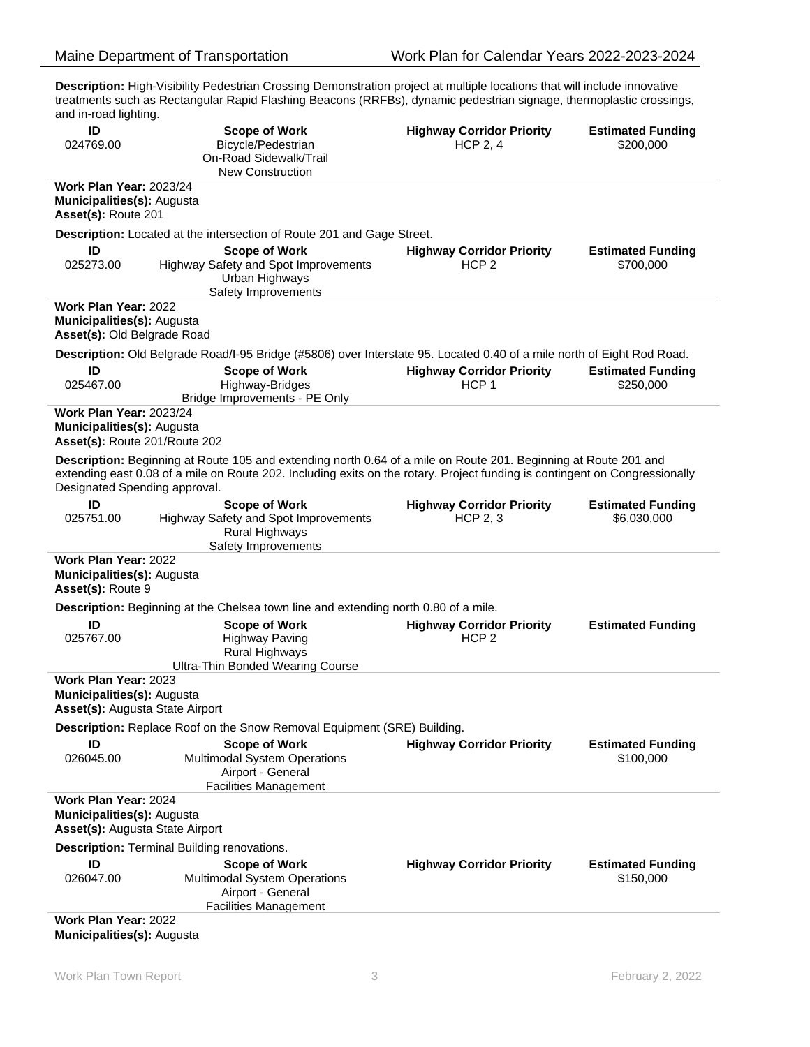**Description:** High-Visibility Pedestrian Crossing Demonstration project at multiple locations that will include innovative treatments such as Rectangular Rapid Flashing Beacons (RRFBs), dynamic pedestrian signage, thermoplastic crossings, and in-road lighting.

| ID<br>024769.00                                                                               | <b>Scope of Work</b><br>Bicycle/Pedestrian<br>On-Road Sidewalk/Trail<br><b>New Construction</b>                                                                                                                                                | <b>Highway Corridor Priority</b><br><b>HCP 2, 4</b>  | <b>Estimated Funding</b><br>\$200,000 |
|-----------------------------------------------------------------------------------------------|------------------------------------------------------------------------------------------------------------------------------------------------------------------------------------------------------------------------------------------------|------------------------------------------------------|---------------------------------------|
| Work Plan Year: 2023/24                                                                       |                                                                                                                                                                                                                                                |                                                      |                                       |
| Municipalities(s): Augusta<br>Asset(s): Route 201                                             |                                                                                                                                                                                                                                                |                                                      |                                       |
|                                                                                               | <b>Description:</b> Located at the intersection of Route 201 and Gage Street.                                                                                                                                                                  |                                                      |                                       |
| ID                                                                                            | <b>Scope of Work</b>                                                                                                                                                                                                                           | <b>Highway Corridor Priority</b>                     | <b>Estimated Funding</b>              |
| 025273.00                                                                                     | Highway Safety and Spot Improvements<br>Urban Highways<br>Safety Improvements                                                                                                                                                                  | HCP <sub>2</sub>                                     | \$700,000                             |
| <b>Work Plan Year: 2022</b>                                                                   |                                                                                                                                                                                                                                                |                                                      |                                       |
| Municipalities(s): Augusta<br>Asset(s): Old Belgrade Road                                     |                                                                                                                                                                                                                                                |                                                      |                                       |
|                                                                                               | Description: Old Belgrade Road/I-95 Bridge (#5806) over Interstate 95. Located 0.40 of a mile north of Eight Rod Road.                                                                                                                         |                                                      |                                       |
| ID<br>025467.00                                                                               | <b>Scope of Work</b><br>Highway-Bridges<br>Bridge Improvements - PE Only                                                                                                                                                                       | <b>Highway Corridor Priority</b><br>HCP <sub>1</sub> | <b>Estimated Funding</b><br>\$250,000 |
| <b>Work Plan Year: 2023/24</b><br>Municipalities(s): Augusta<br>Asset(s): Route 201/Route 202 |                                                                                                                                                                                                                                                |                                                      |                                       |
| Designated Spending approval.                                                                 | Description: Beginning at Route 105 and extending north 0.64 of a mile on Route 201. Beginning at Route 201 and<br>extending east 0.08 of a mile on Route 202. Including exits on the rotary. Project funding is contingent on Congressionally |                                                      |                                       |
| ID                                                                                            | <b>Scope of Work</b>                                                                                                                                                                                                                           | <b>Highway Corridor Priority</b>                     | <b>Estimated Funding</b>              |
| 025751.00                                                                                     | Highway Safety and Spot Improvements<br>Rural Highways<br>Safety Improvements                                                                                                                                                                  | <b>HCP 2, 3</b>                                      | \$6,030,000                           |
| <b>Work Plan Year: 2022</b>                                                                   |                                                                                                                                                                                                                                                |                                                      |                                       |
| Municipalities(s): Augusta<br>Asset(s): Route 9                                               |                                                                                                                                                                                                                                                |                                                      |                                       |
|                                                                                               | Description: Beginning at the Chelsea town line and extending north 0.80 of a mile.                                                                                                                                                            |                                                      |                                       |
| ID<br>025767.00                                                                               | <b>Scope of Work</b><br><b>Highway Paving</b><br>Rural Highways<br><b>Ultra-Thin Bonded Wearing Course</b>                                                                                                                                     | <b>Highway Corridor Priority</b><br>HCP <sub>2</sub> | <b>Estimated Funding</b>              |
| Work Plan Year: 2023                                                                          |                                                                                                                                                                                                                                                |                                                      |                                       |
| Municipalities(s): Augusta<br>Asset(s): Augusta State Airport                                 |                                                                                                                                                                                                                                                |                                                      |                                       |
| Description: Replace Roof on the Snow Removal Equipment (SRE) Building.                       |                                                                                                                                                                                                                                                |                                                      |                                       |
| ID                                                                                            | <b>Scope of Work</b>                                                                                                                                                                                                                           | <b>Highway Corridor Priority</b>                     | <b>Estimated Funding</b>              |
| 026045.00                                                                                     | Multimodal System Operations                                                                                                                                                                                                                   |                                                      | \$100,000                             |
|                                                                                               | Airport - General<br><b>Facilities Management</b>                                                                                                                                                                                              |                                                      |                                       |
| Work Plan Year: 2024                                                                          |                                                                                                                                                                                                                                                |                                                      |                                       |
| <b>Municipalities(s): Augusta</b><br>Asset(s): Augusta State Airport                          |                                                                                                                                                                                                                                                |                                                      |                                       |
| <b>Description: Terminal Building renovations.</b>                                            |                                                                                                                                                                                                                                                |                                                      |                                       |
| ID                                                                                            | <b>Scope of Work</b>                                                                                                                                                                                                                           | <b>Highway Corridor Priority</b>                     | <b>Estimated Funding</b>              |
| 026047.00                                                                                     | Multimodal System Operations<br>Airport - General<br><b>Facilities Management</b>                                                                                                                                                              |                                                      | \$150,000                             |
| Work Plan Year: 2022                                                                          |                                                                                                                                                                                                                                                |                                                      |                                       |
|                                                                                               |                                                                                                                                                                                                                                                |                                                      |                                       |

**Municipalities(s):** Augusta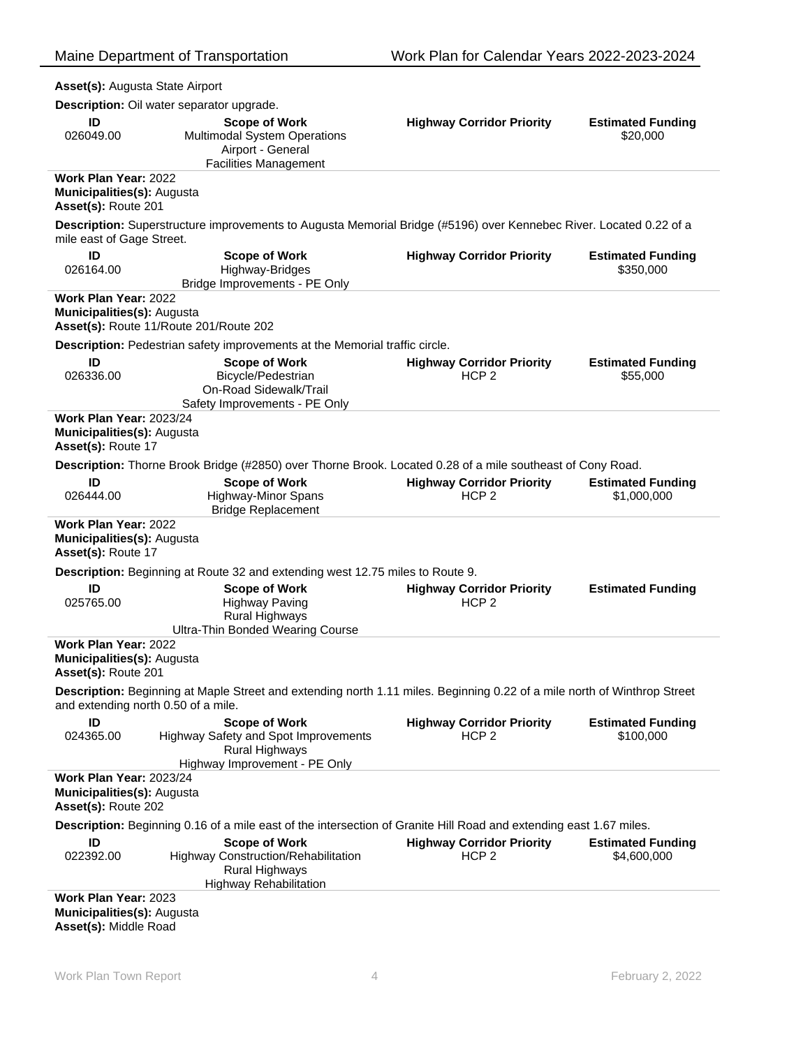| Asset(s): Augusta State Airport                                                                                    |                                                                                                                          |                                  |                          |  |
|--------------------------------------------------------------------------------------------------------------------|--------------------------------------------------------------------------------------------------------------------------|----------------------------------|--------------------------|--|
|                                                                                                                    | Description: Oil water separator upgrade.                                                                                |                                  |                          |  |
| ID                                                                                                                 | <b>Scope of Work</b>                                                                                                     | <b>Highway Corridor Priority</b> | <b>Estimated Funding</b> |  |
| 026049.00                                                                                                          | <b>Multimodal System Operations</b>                                                                                      |                                  | \$20,000                 |  |
|                                                                                                                    | Airport - General                                                                                                        |                                  |                          |  |
|                                                                                                                    | <b>Facilities Management</b>                                                                                             |                                  |                          |  |
| Work Plan Year: 2022                                                                                               |                                                                                                                          |                                  |                          |  |
| Municipalities(s): Augusta<br>Asset(s): Route 201                                                                  |                                                                                                                          |                                  |                          |  |
| mile east of Gage Street.                                                                                          | Description: Superstructure improvements to Augusta Memorial Bridge (#5196) over Kennebec River. Located 0.22 of a       |                                  |                          |  |
| ID                                                                                                                 | <b>Scope of Work</b>                                                                                                     | <b>Highway Corridor Priority</b> | <b>Estimated Funding</b> |  |
| 026164.00                                                                                                          | Highway-Bridges                                                                                                          |                                  | \$350,000                |  |
|                                                                                                                    | Bridge Improvements - PE Only                                                                                            |                                  |                          |  |
| Work Plan Year: 2022<br>Municipalities(s): Augusta                                                                 | Asset(s): Route 11/Route 201/Route 202                                                                                   |                                  |                          |  |
|                                                                                                                    |                                                                                                                          |                                  |                          |  |
|                                                                                                                    | Description: Pedestrian safety improvements at the Memorial traffic circle.                                              |                                  |                          |  |
| ID                                                                                                                 | <b>Scope of Work</b>                                                                                                     | <b>Highway Corridor Priority</b> | <b>Estimated Funding</b> |  |
| 026336.00                                                                                                          | Bicycle/Pedestrian                                                                                                       | HCP <sub>2</sub>                 | \$55,000                 |  |
|                                                                                                                    | On-Road Sidewalk/Trail<br>Safety Improvements - PE Only                                                                  |                                  |                          |  |
| <b>Work Plan Year: 2023/24</b>                                                                                     |                                                                                                                          |                                  |                          |  |
| Municipalities(s): Augusta<br>Asset(s): Route 17                                                                   |                                                                                                                          |                                  |                          |  |
|                                                                                                                    | Description: Thorne Brook Bridge (#2850) over Thorne Brook. Located 0.28 of a mile southeast of Cony Road.               |                                  |                          |  |
| ID                                                                                                                 | <b>Scope of Work</b>                                                                                                     | <b>Highway Corridor Priority</b> | <b>Estimated Funding</b> |  |
| 026444.00                                                                                                          | <b>Highway-Minor Spans</b><br><b>Bridge Replacement</b>                                                                  | HCP <sub>2</sub>                 | \$1,000,000              |  |
| Work Plan Year: 2022<br>Municipalities(s): Augusta<br>Asset(s): Route 17                                           |                                                                                                                          |                                  |                          |  |
|                                                                                                                    | Description: Beginning at Route 32 and extending west 12.75 miles to Route 9.                                            |                                  |                          |  |
| ID                                                                                                                 | <b>Scope of Work</b>                                                                                                     | <b>Highway Corridor Priority</b> | <b>Estimated Funding</b> |  |
| 025765.00                                                                                                          | <b>Highway Paving</b><br>Rural Highways<br><b>Ultra-Thin Bonded Wearing Course</b>                                       | HCP <sub>2</sub>                 |                          |  |
| Work Plan Year: 2022                                                                                               |                                                                                                                          |                                  |                          |  |
| Municipalities(s): Augusta<br><b>Asset(s): Route 201</b>                                                           |                                                                                                                          |                                  |                          |  |
| and extending north 0.50 of a mile.                                                                                | Description: Beginning at Maple Street and extending north 1.11 miles. Beginning 0.22 of a mile north of Winthrop Street |                                  |                          |  |
| ID                                                                                                                 | <b>Scope of Work</b>                                                                                                     | <b>Highway Corridor Priority</b> | <b>Estimated Funding</b> |  |
| 024365.00                                                                                                          | Highway Safety and Spot Improvements<br>Rural Highways                                                                   | HCP <sub>2</sub>                 | \$100,000                |  |
|                                                                                                                    | Highway Improvement - PE Only                                                                                            |                                  |                          |  |
| <b>Work Plan Year: 2023/24</b><br>Municipalities(s): Augusta<br>Asset(s): Route 202                                |                                                                                                                          |                                  |                          |  |
| Description: Beginning 0.16 of a mile east of the intersection of Granite Hill Road and extending east 1.67 miles. |                                                                                                                          |                                  |                          |  |
| ID                                                                                                                 | <b>Scope of Work</b>                                                                                                     | <b>Highway Corridor Priority</b> | <b>Estimated Funding</b> |  |
| 022392.00                                                                                                          | <b>Highway Construction/Rehabilitation</b><br>Rural Highways<br><b>Highway Rehabilitation</b>                            | HCP <sub>2</sub>                 | \$4,600,000              |  |
| Work Plan Year: 2023                                                                                               |                                                                                                                          |                                  |                          |  |
| Municipalities(s): Augusta<br>Asset(s): Middle Road                                                                |                                                                                                                          |                                  |                          |  |